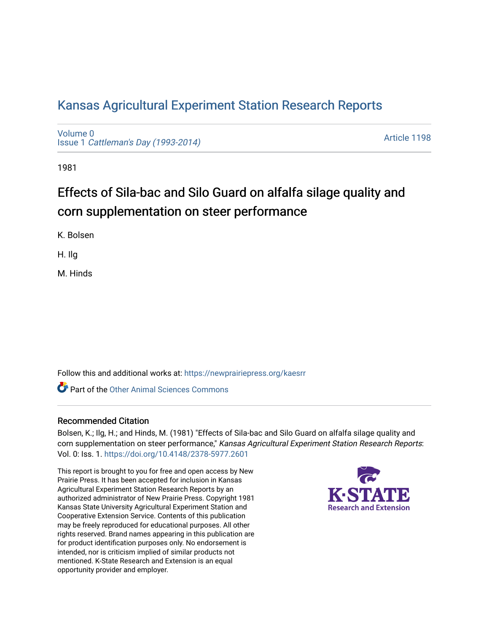# [Kansas Agricultural Experiment Station Research Reports](https://newprairiepress.org/kaesrr)

[Volume 0](https://newprairiepress.org/kaesrr/vol0) Issue 1 [Cattleman's Day \(1993-2014\)](https://newprairiepress.org/kaesrr/vol0/iss1) 

[Article 1198](https://newprairiepress.org/kaesrr/vol0/iss1/1198) 

1981

# Effects of Sila-bac and Silo Guard on alfalfa silage quality and corn supplementation on steer performance

K. Bolsen

H. Ilg

M. Hinds

Follow this and additional works at: [https://newprairiepress.org/kaesrr](https://newprairiepress.org/kaesrr?utm_source=newprairiepress.org%2Fkaesrr%2Fvol0%2Fiss1%2F1198&utm_medium=PDF&utm_campaign=PDFCoverPages) 

**C** Part of the [Other Animal Sciences Commons](http://network.bepress.com/hgg/discipline/82?utm_source=newprairiepress.org%2Fkaesrr%2Fvol0%2Fiss1%2F1198&utm_medium=PDF&utm_campaign=PDFCoverPages)

### Recommended Citation

Bolsen, K.; Ilg, H.; and Hinds, M. (1981) "Effects of Sila-bac and Silo Guard on alfalfa silage quality and corn supplementation on steer performance," Kansas Agricultural Experiment Station Research Reports: Vol. 0: Iss. 1. <https://doi.org/10.4148/2378-5977.2601>

This report is brought to you for free and open access by New Prairie Press. It has been accepted for inclusion in Kansas Agricultural Experiment Station Research Reports by an authorized administrator of New Prairie Press. Copyright 1981 Kansas State University Agricultural Experiment Station and Cooperative Extension Service. Contents of this publication may be freely reproduced for educational purposes. All other rights reserved. Brand names appearing in this publication are for product identification purposes only. No endorsement is intended, nor is criticism implied of similar products not mentioned. K-State Research and Extension is an equal opportunity provider and employer.

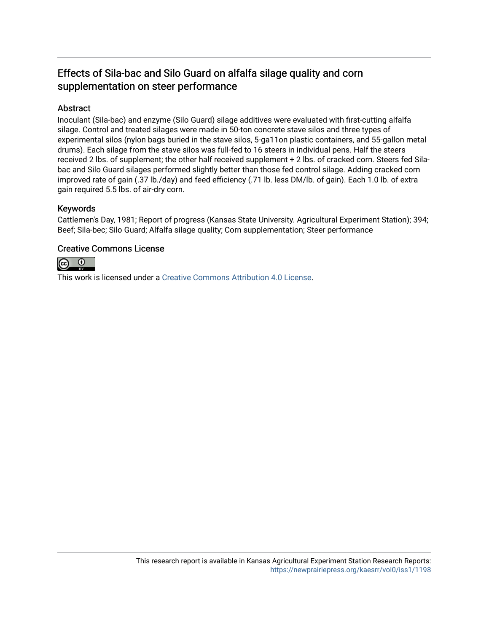## Effects of Sila-bac and Silo Guard on alfalfa silage quality and corn supplementation on steer performance

## Abstract

Inoculant (Sila-bac) and enzyme (Silo Guard) silage additives were evaluated with first-cutting alfalfa silage. Control and treated silages were made in 50-ton concrete stave silos and three types of experimental silos (nylon bags buried in the stave silos, 5-ga11on plastic containers, and 55-gallon metal drums). Each silage from the stave silos was full-fed to 16 steers in individual pens. Half the steers received 2 lbs. of supplement; the other half received supplement + 2 lbs. of cracked corn. Steers fed Silabac and Silo Guard silages performed slightly better than those fed control silage. Adding cracked corn improved rate of gain (.37 lb./day) and feed efficiency (.71 lb. less DM/lb. of gain). Each 1.0 lb. of extra gain required 5.5 lbs. of air-dry corn.

### Keywords

Cattlemen's Day, 1981; Report of progress (Kansas State University. Agricultural Experiment Station); 394; Beef; Sila-bec; Silo Guard; Alfalfa silage quality; Corn supplementation; Steer performance

### Creative Commons License



This work is licensed under a [Creative Commons Attribution 4.0 License](https://creativecommons.org/licenses/by/4.0/).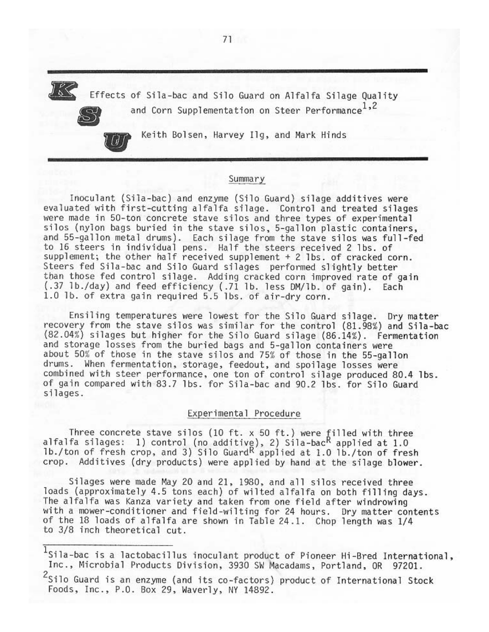Effects of Sila-bac and Silo Guard on Alfalfa Silage Quality and Corn Supplementation on Steer Performance<sup>1,2</sup>

Keith Bolsen, Harvey Ilg, and Mark Hinds

 $^{\prime}$  (d)

#### Summary

Inoculant (Sila-bac) and enzyme (Silo Guard) silage additives were evaluated with first-cutting alfalfa silage. Control and treated silages were made in 50-ton concrete stave silos and three types of experimental silos (nylon bags buried in the stave silos, 5-gallon plastic containers, and 55-gallon metal drums). Each silage from the stave silos was full-fed to 16 steers in individual pens. Half the steers received 2 lbs. of supplement; the other half received supplement + 2 lbs. of cracked corn. Steers fed Sila-bac and Silo Guard silages performed slightly better than those fed control silage. Adding cracked corn improved rate of gain (.37 lb./day) and feed efficiency (.71 lb. less DM/lb. of gain). Each 1.0 lb. of extra gain required 5.5 lbs. of air-dry corn.

Ensiling temperatures were lowest for the Silo Guard silage. Dry matter recovery from the stave silos was similar for the control (81.98%) and Sila-bac (82.04%) silages but higher for the Silo Guard silage (86.14%). Fermentation and storage losses from the buried bags and 5-gallon containers were about 50% of those in the stave silos and 75% of those in the 55-gallon drums. When fermentation, storage, feedout, and spoilage losses were combined with steer performance, one ton of control silage produced 80.4 lbs. of gain compared with 83.7 lbs. for Sila-bac and 90.2 lbs. for Silo Guard silages.

#### Experimental Procedure

Three concrete stave silos (10 ft. x 50 ft.) were filled with three<br>alfalfa silages: 1) control (no additive), 2) Sila-bac<sup>R</sup> applied at 1.0<br>1b./ton of fresh crop, and 3) Silo Guard<sup>R</sup> applied at 1.0 lb./ton of fresh crop. Additives (dry products) were applied by hand at the silage blower.

Silages were made May 20 and 21, 1980, and all silos received three loads (approximately 4.5 tons each) of wilted alfalfa on both filling days. The alfalfa was Kanza variety and taken from one field after windrowing with a mower-conditioner and field-wilting for 24 hours. Dry matter contents of the 18 loads of alfalfa are shown in Table 24.1. Chop length was 1/4 to 3/8 inch theoretical cut.

 $1$ Sila-bac is a lactobacillus inoculant product of Pioneer Hi-Bred International, Inc., Microbial Products Division, 3930 SW Macadams, Portland, OR 97201.

<sup>&</sup>lt;sup>2</sup>Silo Guard is an enzyme (and its co-factors) product of International Stock Foods, Inc., P.O. Box 29, Waverly, NY 14892.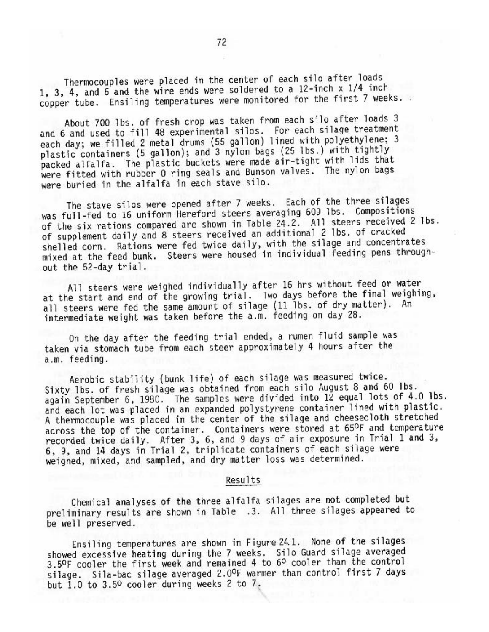Thermocouples were placed in the center of each silo after loads 1, 3, 4, and 6 and the wire ends were soldered to a 12-inch x 1/4 inch copper tube. Ensiling temperatures were monitored for the first 7 weeks.

About 700 lbs. of fresh crop was taken from each silo after loads 3 and 6 and used to fill 48 experimental silos. For each silage treatment each day; we filled 2 metal drums (55 gallon) lined with polyethylene; 3 plastic containers (5 gallon); and 3 nylon bags (25 lbs.) with tightly packed alfalfa. The plastic buckets were made air-tight with lids that were fitted with rubber 0 ring seals and Bunson valves. The nylon bags were buried in the alfalfa in each stave silo.

The stave silos were opened after 7 weeks. Each of the three silages was full-fed to 16 uniform Hereford steers averaging 609 lbs. Compositions of the six rations compared are shown in Table 24.2. All steers received 2 lbs. of supplement daily and 8 steers received an additional 2 lbs. of cracked shelled corn. Rations were fed twice daily, with the silage and concentrates mixed at the feed bunk. Steers were housed in individual feeding pens throughout the 52-day trial.

All steers were weighed individually after 16 hrs without feed or water at the start and end of the growing trial. Two days before the final weighing, all steers were fed the same amount of silage (11 lbs. of dry matter). An intermediate weight was taken before the a.m. feeding on day 28.

On the day after the feeding trial ended, a rumen fluid sample was taken via stomach tube from each steer approximately 4 hours after the a.m. feeding.

Aerobic stability (bunk life) of each silage was measured twice. Sixty 1bs. of fresh silage was obtained from each silo August 8 and 60 lbs. again September 6, 1980. The samples were divided into 12 equal lots of 4.0 lbs. and each lot was placed in an expanded polystyrene container lined with plastic. A thermocouple was placed in the center of the silage and cheesecloth stretched across the top of the container. Containers were stored at 65ºF and temperature recorded twice daily. After 3, 6, and 9 days of air exposure in Trial 1 and 3, 6, 9, and 14 days in Trial 2, triplicate containers of each silage were weighed, mixed, and sampled, and dry matter loss was determined.

#### Results

Chemical analyses of the three alfalfa silages are not completed but preliminary results are shown in Table .3. All three silages appeared to be well preserved.

Ensiling temperatures are shown in Figure 24.1. None of the silages showed excessive heating during the 7 weeks. Silo Guard silage averaged 3.5ºF cooler the first week and remained 4 to 6º cooler than the control silage. Sila-bac silage averaged 2.0ºF warmer than control first 7 days but 1.0 to 3.50 cooler during weeks 2 to 7.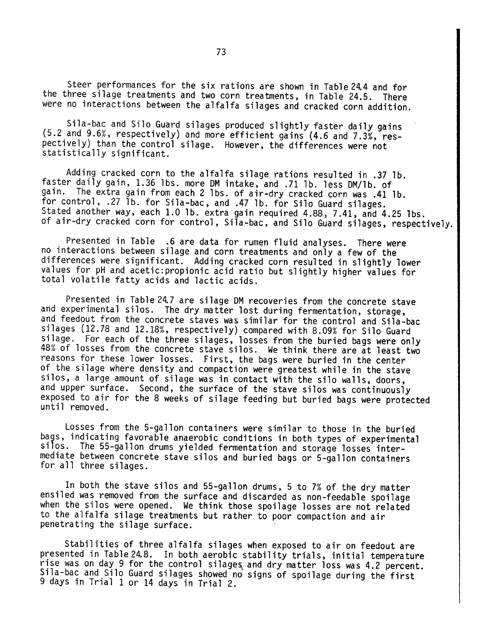Steer performances for the six rations are shown in Table 24.4 and for the three silage treatments and two corn treatments, in Table 24.5. There were no interactions between the alfalfa silages and cracked corn addition.

Sila-bac and Silo Guard silages produced slightly faster daily gains (5.2 and 9.6%, respectively) and more efficient gains (4.6 and 7.3%, respectively) than the control silage. However, the differences were not statistically significant.

Adding cracked corn to the alfalfa silage rations resulted in .37 lb. faster daily gain, 1.36 lbs. more DM intake, and .71 lb. less DM/1b. of gain. The extra gain from each 2 lbs. of air-dry cracked corn was .41 lb. for control, .27 lb. for Sila-bac, and .47 lb. for Silo Guard silages. Stated another way, each 1.0 lb. extra gain required 4.88, 7.41, and 4.25 lbs. of air-dry cracked corn for control, Sila-bac, and Silo Guard silages, respectively.

Presented in Table .6 are data for rumen fluid analyses. There were no interactions between silage and corn treatments and only a few of the differences were significant. Adding cracked corn resulted in slightly lower values for pH and acetic: propionic acid ratio but slightly higher values for total volatile fatty acids and lactic acids.

Presented in Table 24.7 are silage DM recoveries from the concrete stave and experimental silos. The dry matter lost during fermentation, storage, and feedout from the concrete staves was similar for the control and Sila-bac silages (12.78 and 12.18%, respectively) compared with 8.09% for Silo Guard silage. For each of the three silages, losses from the buried bags were only 48% of losses from the concrete stave silos. We think there are at least two reasons for these lower losses. First, the bags were buried in the center of the silage where density and compaction were greatest while in the stave silos, a large amount of silage was in contact with the silo walls, doors, and upper surface. Second, the surface of the stave silos was continuously exposed to air for the 8 weeks of silage feeding but buried bags were protected until removed.

Losses from the 5-gallon containers were similar to those in the buried bags, indicating favorable anaerobic conditions in both types of experimental silos. The 55-gallon drums yielded fermentation and storage losses intermediate between concrete stave silos and buried bags or 5-gallon containers for all three silages.

In both the stave silos and 55-gallon drums, 5 to 7% of the dry matter ensiled was removed from the surface and discarded as non-feedable spoilage when the silos were opened. We think those spoilage losses are not related to the alfalfa silage treatments but rather to poor compaction and air penetrating the silage surface.

Stabilities of three alfalfa silages when exposed to air on feedout are presented in Table 24.8. In both aerobic stability trials, initial temperature rise was on day 9 for the control silages and dry matter loss was 4.2 percent. Sila-bac and Silo Guard silages showed no signs of spoilage during the first 9 days in Trial 1 or 14 days in Trial 2.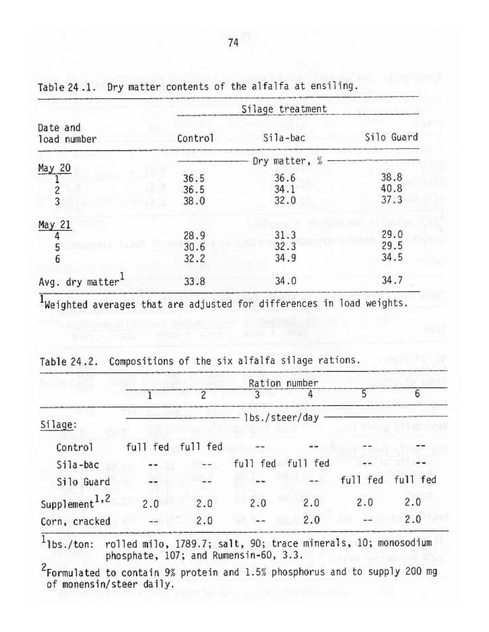|                              | Silage treatment |               |            |  |  |  |  |
|------------------------------|------------------|---------------|------------|--|--|--|--|
| Date and<br>load number      | Control          | Sila-bac      | Silo Guard |  |  |  |  |
|                              |                  | Dry matter, % |            |  |  |  |  |
| May 20                       | 36.5             | 36.6          | 38.8       |  |  |  |  |
|                              | 36.5             | 34.1          | 40.8       |  |  |  |  |
| $\frac{2}{3}$                | 38.0             | 32.0          | 37.3       |  |  |  |  |
| May 21                       |                  |               |            |  |  |  |  |
|                              | 28.9             | 31.3          | 29.0       |  |  |  |  |
| 5                            | 30.6             | 32.3          | 29.5       |  |  |  |  |
| 6                            | 32.2             | 34.9          | 34.5       |  |  |  |  |
| Avg. dry matter <sup>1</sup> | 33.8             | 34.0          | 34.7       |  |  |  |  |

Table 24.1. Dry matter contents of the alfalfa at ensiling.

Weighted averages that are adjusted for differences in load weights.

| Table 24.2. | Compositions of the six alfalfa silage rations. |  |  |  |  |  |  |  |
|-------------|-------------------------------------------------|--|--|--|--|--|--|--|
|-------------|-------------------------------------------------|--|--|--|--|--|--|--|

|                           |          |          |                  | Ration number     |     |                   |
|---------------------------|----------|----------|------------------|-------------------|-----|-------------------|
|                           |          | 2        | 3                |                   | 5   |                   |
| Silage:                   |          |          | - lbs./steer/day |                   |     |                   |
| Control                   | full fed | full fed |                  |                   |     |                   |
| Sila-bac                  |          |          |                  | full fed full fed |     |                   |
| Silo Guard                |          |          | $- -$            | $-$               |     | full fed full fed |
| Supplement <sup>1,2</sup> | 2.0      | 2.0      | 2.0              | 2.0               | 2.0 | 2.0               |
| Corn, cracked             |          | 2.0      |                  | 2.0               |     | 2.0               |

 $1$ lbs./ton: rolled milo, 1789.7; salt, 90; trace minerals, 10; monosodium phosphate, 107; and Rumensin-60, 3.3.

 $2$ Formulated to contain 9% protein and 1.5% phosphorus and to supply 200 mg of monensin/steer daily.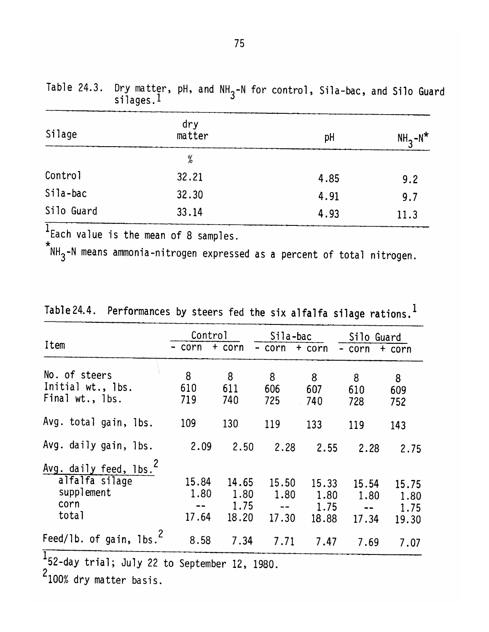| Silage     | dry<br>matter | pH   | $NH2-N*$ |
|------------|---------------|------|----------|
|            | %             |      |          |
| Control    | 32.21         | 4.85 | 9.2      |
| Sila-bac   | 32.30         | 4.91 | 9.7      |
| Silo Guard | 33.14         | 4.93 | 11.3     |

Table 24.3. Dry matter, pH, and  $NH_{3}$ -N for control, Sila-bac, and Silo Guard silages.<sup>1</sup>

 $1$  Each value is the mean of 8 samples.

 $*_{\mathsf{NH}_3^-}$ -N means ammonia-nitrogen expressed as a percent of total nitrogen.

|  | Table 24.4. Performances by steers fed the six alfalfa silage rations. |  |  |  |  |  |  |  |  |  |  |
|--|------------------------------------------------------------------------|--|--|--|--|--|--|--|--|--|--|
|--|------------------------------------------------------------------------|--|--|--|--|--|--|--|--|--|--|

| Item                                                                                | Control<br>- corn      | $+$ corn                       | Sila-bac<br>- corn     | + corn                         | Silo Guard<br>- corn   | + corn                         |
|-------------------------------------------------------------------------------------|------------------------|--------------------------------|------------------------|--------------------------------|------------------------|--------------------------------|
| No. of steers<br>Initial wt., lbs.<br>Final wt., 1bs.                               | 8<br>610<br>719        | 8<br>611<br>740                | 8<br>606<br>725        | 8<br>607<br>740                | 8<br>610<br>728        | 8<br>609<br>752                |
| Avg. total gain, lbs.                                                               | 109                    | 130                            | 119                    | 133                            | 119                    | 143                            |
| Avg. daily gain, lbs.                                                               | 2.09                   | 2.50                           | 2.28                   | 2.55                           | 2.28                   | 2.75                           |
| Avg. daily feed, lbs. <sup>2</sup><br>alfalfa silage<br>supplement<br>corn<br>total | 15.84<br>1.80<br>17.64 | 14.65<br>1.80<br>1.75<br>18.20 | 15.50<br>1.80<br>17.30 | 15.33<br>1.80<br>1.75<br>18.88 | 15.54<br>1.80<br>17.34 | 15.75<br>1.80<br>1.75<br>19.30 |
| Feed/lb. of gain, lbs. <sup>2</sup><br>$\overline{\mathbf{1}}$                      | 8.58                   | 7.34                           | 7.71                   | 7.47                           | 7.69                   | 7.07                           |

 $\frac{1}{2}$ 52-day trial; July 22 to September 12, 1980.

 $2_{100\%}$  dry matter basis.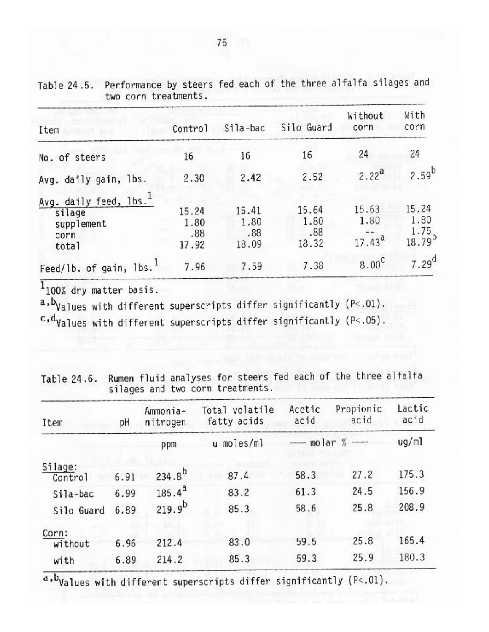| Item                                                                        | Control                       | Sila-bac                      | Silo Guard                    | Without<br>corn              | With<br>corn                            |
|-----------------------------------------------------------------------------|-------------------------------|-------------------------------|-------------------------------|------------------------------|-----------------------------------------|
| No. of steers                                                               | 16                            | 16                            | 16                            | 24                           | 24                                      |
| Avg. daily gain, lbs.                                                       | 2.30                          | 2.42                          | 2.52                          | $2.22^{a}$                   | $2.59^{b}$                              |
| Avg. daily feed, lbs. <sup>1</sup><br>silage<br>supplement<br>corn<br>total | 15.24<br>1.80<br>.88<br>17.92 | 15.41<br>1.80<br>.88<br>18.09 | 15.64<br>1.80<br>.88<br>18.32 | 15.63<br>1.80<br>$17.43^{a}$ | 15.24<br>1.80<br>$\frac{1.75}{18.79}$ b |
| Feed/lb. of gain, lbs. <sup>1</sup>                                         | 7.96                          | 7.59                          | 7.38                          | $8.00^{\circ}$               | $7.29$ <sup>d</sup>                     |

Table 24.5. Performance by steers fed each of the three alfalfa silages and two corn treatments.

 $\frac{1}{100\%}$  dry matter basis.

a, b<sub>Values</sub> with different superscripts differ significantly (P<.01).

 $c, d$ Values with different superscripts differ significantly (P<.05).

| Table 24.6. Rumen fluid analyses for steers fed each of the three alfalfa |  |  |  |  |
|---------------------------------------------------------------------------|--|--|--|--|
| silages and two corn treatments.                                          |  |  |  |  |

| Item               | pH   | Ammonia-<br>nitrogen | Total volatile<br>fatty acids | Acetic<br>acid | Propionic<br>acid | Lactic<br>acid |
|--------------------|------|----------------------|-------------------------------|----------------|-------------------|----------------|
|                    |      | ppm                  | u moles/ml                    | <b>NANOSKI</b> | molar $%$ —       | ug/ml          |
| Silage:<br>Control | 6.91 | $234.8^{b}$          | 87.4                          | 58.3           | 27.2              | 175.3          |
| Sila-bac           | 6.99 | $185.4^{a}$          | 83.2                          | 61.3           | 24.5              | 156.9          |
| Silo Guard         | 6.89 | $219.9^{b}$          | 85.3                          | 58.6           | 25.8              | 208.9          |
| Corn:<br>without   | 6.96 | 212.4                | 83.0                          | 59.5           | 25.8              | 165.4          |
| with               | 6.89 | 214.2                | 85.3                          | 59.3           | 25.9              | 180.3          |

 $a$ ,  $b$ <sub>Values</sub> with different superscripts differ significantly ( $P < .01$ ).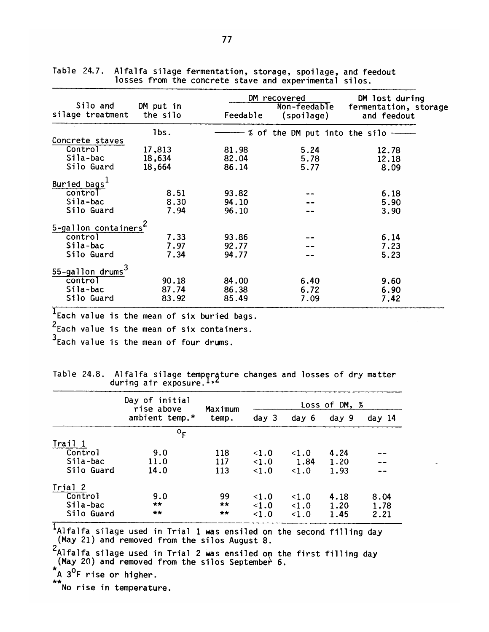| Silo and<br>silage treatment     | DM put in<br>the silo | Feedable | DM recovered<br>Non-feedable<br>(spoilage) | DM lost during<br>fermentation, storage<br>and feedout |
|----------------------------------|-----------------------|----------|--------------------------------------------|--------------------------------------------------------|
|                                  | lbs.                  |          | % of the DM put into the silo --           |                                                        |
| Concrete staves                  |                       |          |                                            |                                                        |
| Control                          | 17,813                | 81.98    | 5.24                                       | 12.78                                                  |
| Sila-bac                         | 18,634                | 82.04    | 5.78                                       | 12.18                                                  |
| Silo Guard                       | 18,664                | 86.14    | 5.77                                       | 8.09                                                   |
| Buried bags <sup>1</sup>         |                       |          |                                            |                                                        |
| control                          | 8.51                  | 93.82    |                                            | 6.18                                                   |
| Sila-bac                         | 8.30                  | 94.10    |                                            | 5.90                                                   |
| Silo Guard                       | 7.94                  | 96.10    |                                            | 3.90                                                   |
| 5-gallon containers <sup>4</sup> |                       |          |                                            |                                                        |
| control                          | 7.33                  | 93.86    |                                            | 6.14                                                   |
| Sila-bac                         | 7.97                  | 92.77    |                                            | 7.23                                                   |
| Silo Guard                       | 7.34                  | 94.77    |                                            | 5.23                                                   |
| 55-gallon drums <sup>3</sup>     |                       |          |                                            |                                                        |
| control                          | 90.18                 | 84.00    | 6.40                                       | 9.60                                                   |
| Sila-bac                         | 87.74                 | 86.38    | 6.72                                       | 6.90                                                   |
| Silo Guard                       | 83.92                 | 85.49    | 7.09                                       | 7.42                                                   |

Alfalfa silage fermentation, storage, spoilage, and feedout<br>losses from the concrete stave and experimental silos. Table 24.7.

T<sub>Each</sub> value is the mean of six buried bags.

 $2$ Each value is the mean of six containers.

 $3$  Each value is the mean of four drums.

|  |                            | Table 24.8.  Alfalfa silage tempęrąture changes and losses of dry matter |  |  |  |
|--|----------------------------|--------------------------------------------------------------------------|--|--|--|
|  | during air exposure. $1.6$ |                                                                          |  |  |  |

|            | Day of initial<br>rise above | Maximum | Loss of DM, % |            |       |        |  |  |
|------------|------------------------------|---------|---------------|------------|-------|--------|--|--|
|            | ambient temp.*               | temp.   | day 3         | day 6      | day 9 | day 14 |  |  |
|            | $^{\circ}$ F                 |         |               |            |       |        |  |  |
| Trail 1    |                              |         |               |            |       |        |  |  |
| Control    | 9.0                          | 118     | $\leq 1.0$    | $\leq 1.0$ | 4.24  |        |  |  |
| Sila-bac   | 11.0                         | 117     | < 1.0         | 1.84       | 1.20  |        |  |  |
| Silo Guard | 14.0                         | 113     | < 1.0         | < 1.0      | 1.93  |        |  |  |
| Trial 2    |                              |         |               |            |       |        |  |  |
| Control    | 9.0                          | 99      | < 1.0         | < 1.0      | 4.18  | 8.04   |  |  |
| Sila-bac   | $***$                        | **      | <1.0          | $\leq 1.0$ | 1.20  | 1.78   |  |  |
| Silo Guard | $***$                        | **      | 1.0           | $\leq 1.0$ | 1.45  | 2.21   |  |  |

T<br>Alfalfa silage used in Trial 1 was ensiled on the second filling day<br>(May 21) and removed from the silos August 8.

2<br>Alfalfa silage used in Trial 2 was ensiled on the first filling day<br>(May 20) and removed from the silos September 6.

 $A$   $3^0$ F rise or higher.

\*\*<br>No rise in temperature.